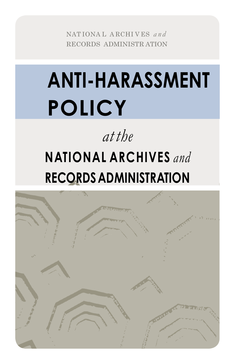NATIONAL ARCHIVES and RECORDS ADMINISTRATION

# **ANTI-HARASSMENT POLICY**

## at the **NATIONAL ARCHIVES** and **RECORDS ADMINISTRATION**

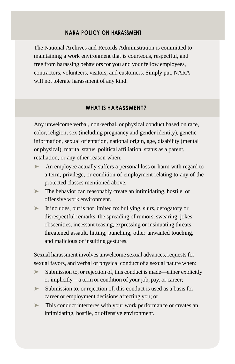#### **NARA POLICY ON HARASSMENT**

The National Archives and Records Administration is committed to maintaining a work environment that is courteous, respectful, and free from harassing behaviors for you and your fellow employees, contractors, volunteers, visitors, and customers. Simply put, NARA will not tolerate harassment of any kind.

#### **WHAT IS HARASSMENT?**

Any unwelcome verbal, non-verbal, or physical conduct based on race, color, religion, sex (including pregnancy and gender identity), genetic information, sexual orientation, national origin, age, disability (mental or physical), marital status, political affiliation, status as a parent, retaliation, or any other reason when:

- ➤ An employee actually suffers a personal loss or harm with regard to a term, privilege, or condition of employment relating to any of the protected classes mentioned above.
- ➤ The behavior can reasonably create an intimidating, hostile, or offensive work environment.
- ➤ It includes, but is not limited to: bullying, slurs, derogatory or disrespectful remarks, the spreading of rumors, swearing, jokes, obscenities, incessant teasing, expressing or insinuating threats, threatened assault, hitting, punching, other unwanted touching, and malicious or insulting gestures.

Sexual harassment involves unwelcome sexual advances, requests for sexual favors, and verbal or physical conduct of a sexual nature when:

- ► Submission to, or rejection of, this conduct is made—either explicitly or implicitly—a term or condition of your job, pay, or career;
- ➤ Submission to, or rejection of, this conduct is used as a basis for career or employment decisions affecting you; or
- ➤ This conduct interferes with your work performance or creates an intimidating, hostile, or offensive environment.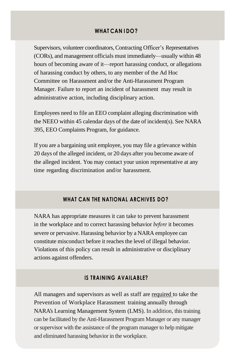#### **WHAT CAN I DO?**

Supervisors, volunteer coordinators, Contracting Officer's Representatives (CORs), and management officials must immediately—usually within 48 hours of becoming aware of it—report harassing conduct, or allegations of harassing conduct by others, to any member of the Ad Hoc Committee on Harassment and/or the Anti-Harassment Program Manager. Failure to report an incident of harassment may result in administrative action, including disciplinary action.

Employees need to file an EEO complaint alleging discrimination with the NEEO within 45 calendar days of the date of incident(s). See NARA 395, EEO Complaints Program, for guidance.

If you are a bargaining unit employee, you may file a grievance within 20 days of the alleged incident, or 20 days after you become aware of the alleged incident. You may contact your union representative at any time regarding discrimination and/or harassment.

#### **WHAT CAN THE NATIONAL ARCHIVES DO?**

NARA has appropriate measures it can take to prevent harassment in the workplace and to correct harassing behavior *before* it becomes severe or pervasive. Harassing behavior by a NARA employee can constitute misconduct before it reaches the level of illegal behavior. Violations of this policy can result in administrative or disciplinary actions against offenders.

#### **IS TRAINING AVAILABLE?**

All managers and supervisors as well as staff are required to take the Prevention of Workplace Harassment training annually through NARA's Learning Management System (LMS). In addition, this training can be facilitated by the Anti-Harassment Program Manager or any manager or supervisor with the assistance of the program manager to help mitigate and eliminated harassing behavior in the workplace.